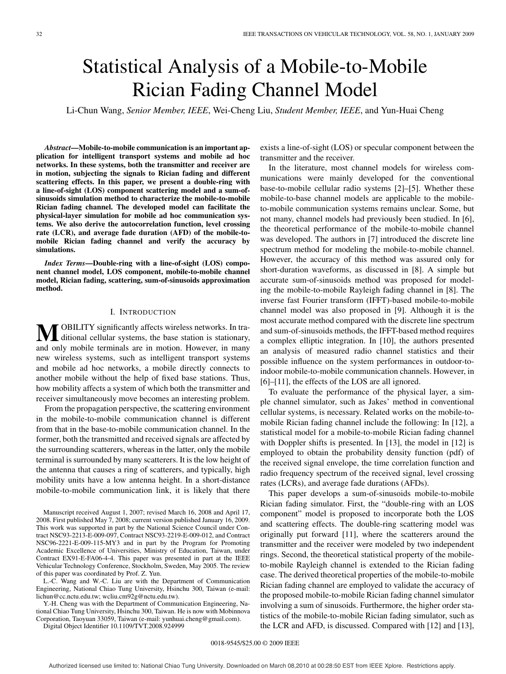# Statistical Analysis of a Mobile-to-Mobile Rician Fading Channel Model

Li-Chun Wang, *Senior Member, IEEE*, Wei-Cheng Liu, *Student Member, IEEE*, and Yun-Huai Cheng

*Abstract***—Mobile-to-mobile communication is an important application for intelligent transport systems and mobile ad hoc networks. In these systems, both the transmitter and receiver are in motion, subjecting the signals to Rician fading and different scattering effects. In this paper, we present a double-ring with a line-of-sight (LOS) component scattering model and a sum-ofsinusoids simulation method to characterize the mobile-to-mobile Rician fading channel. The developed model can facilitate the physical-layer simulation for mobile ad hoc communication systems. We also derive the autocorrelation function, level crossing rate (LCR), and average fade duration (AFD) of the mobile-tomobile Rician fading channel and verify the accuracy by simulations.**

*Index Terms***—Double-ring with a line-of-sight (LOS) component channel model, LOS component, mobile-to-mobile channel model, Rician fading, scattering, sum-of-sinusoids approximation method.**

#### I. INTRODUCTION

**M**OBILITY significantly affects wireless networks. In tra-<br>ditional cellular systems, the base station is stationary, and only mobile terminals are in motion. However, in many new wireless systems, such as intelligent transport systems and mobile ad hoc networks, a mobile directly connects to another mobile without the help of fixed base stations. Thus, how mobility affects a system of which both the transmitter and receiver simultaneously move becomes an interesting problem.

From the propagation perspective, the scattering environment in the mobile-to-mobile communication channel is different from that in the base-to-mobile communication channel. In the former, both the transmitted and received signals are affected by the surrounding scatterers, whereas in the latter, only the mobile terminal is surrounded by many scatterers. It is the low height of the antenna that causes a ring of scatterers, and typically, high mobility units have a low antenna height. In a short-distance mobile-to-mobile communication link, it is likely that there

Manuscript received August 1, 2007; revised March 16, 2008 and April 17, 2008. First published May 7, 2008; current version published January 16, 2009. This work was supported in part by the National Science Council under Contract NSC93-2213-E-009-097, Contract NSC93-2219-E-009-012, and Contract NSC96-2221-E-009-115-MY3 and in part by the Program for Promoting Academic Excellence of Universities, Ministry of Education, Taiwan, under Contract EX91-E-FA06-4-4. This paper was presented in part at the IEEE Vehicular Technology Conference, Stockholm, Sweden, May 2005. The review of this paper was coordinated by Prof. Z. Yun.

L.-C. Wang and W.-C. Liu are with the Department of Communication Engineering, National Chiao Tung University, Hsinchu 300, Taiwan (e-mail: lichun@cc.nctu.edu.tw; wcliu.cm92g@nctu.edu.tw).

Y.-H. Cheng was with the Department of Communication Engineering, National Chiao Tung University, Hsinchu 300, Taiwan. He is now with Mobinnova Corporation, Taoyuan 33059, Taiwan (e-mail: yunhuai.cheng@gmail.com).

Digital Object Identifier 10.1109/TVT.2008.924999

exists a line-of-sight (LOS) or specular component between the transmitter and the receiver.

In the literature, most channel models for wireless communications were mainly developed for the conventional base-to-mobile cellular radio systems [2]–[5]. Whether these mobile-to-base channel models are applicable to the mobileto-mobile communication systems remains unclear. Some, but not many, channel models had previously been studied. In [6], the theoretical performance of the mobile-to-mobile channel was developed. The authors in [7] introduced the discrete line spectrum method for modeling the mobile-to-mobile channel. However, the accuracy of this method was assured only for short-duration waveforms, as discussed in [8]. A simple but accurate sum-of-sinusoids method was proposed for modeling the mobile-to-mobile Rayleigh fading channel in [8]. The inverse fast Fourier transform (IFFT)-based mobile-to-mobile channel model was also proposed in [9]. Although it is the most accurate method compared with the discrete line spectrum and sum-of-sinusoids methods, the IFFT-based method requires a complex elliptic integration. In [10], the authors presented an analysis of measured radio channel statistics and their possible influence on the system performances in outdoor-toindoor mobile-to-mobile communication channels. However, in [6]–[11], the effects of the LOS are all ignored.

To evaluate the performance of the physical layer, a simple channel simulator, such as Jakes' method in conventional cellular systems, is necessary. Related works on the mobile-tomobile Rician fading channel include the following: In [12], a statistical model for a mobile-to-mobile Rician fading channel with Doppler shifts is presented. In [13], the model in [12] is employed to obtain the probability density function (pdf) of the received signal envelope, the time correlation function and radio frequency spectrum of the received signal, level crossing rates (LCRs), and average fade durations (AFDs).

This paper develops a sum-of-sinusoids mobile-to-mobile Rician fading simulator. First, the "double-ring with an LOS component" model is proposed to incorporate both the LOS and scattering effects. The double-ring scattering model was originally put forward [11], where the scatterers around the transmitter and the receiver were modeled by two independent rings. Second, the theoretical statistical property of the mobileto-mobile Rayleigh channel is extended to the Rician fading case. The derived theoretical properties of the mobile-to-mobile Rician fading channel are employed to validate the accuracy of the proposed mobile-to-mobile Rician fading channel simulator involving a sum of sinusoids. Furthermore, the higher order statistics of the mobile-to-mobile Rician fading simulator, such as the LCR and AFD, is discussed. Compared with [12] and [13],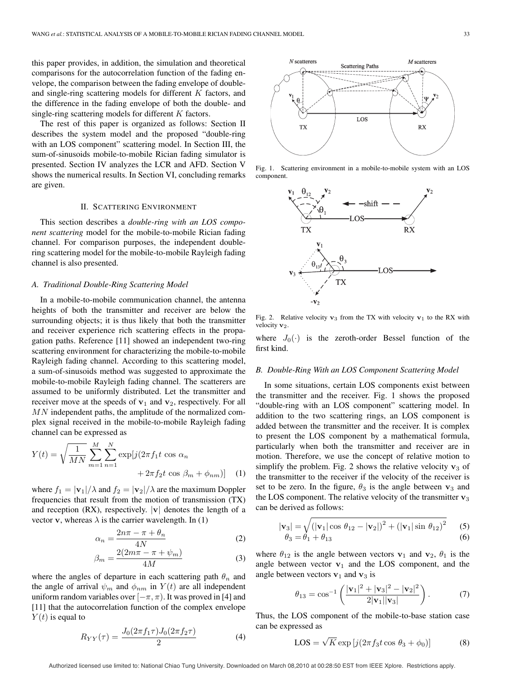this paper provides, in addition, the simulation and theoretical comparisons for the autocorrelation function of the fading envelope, the comparison between the fading envelope of doubleand single-ring scattering models for different  $K$  factors, and the difference in the fading envelope of both the double- and single-ring scattering models for different K factors.

The rest of this paper is organized as follows: Section II describes the system model and the proposed "double-ring with an LOS component" scattering model. In Section III, the sum-of-sinusoids mobile-to-mobile Rician fading simulator is presented. Section IV analyzes the LCR and AFD. Section V shows the numerical results. In Section VI, concluding remarks are given.

## II. SCATTERING ENVIRONMENT

This section describes a *double-ring with an LOS component scattering* model for the mobile-to-mobile Rician fading channel. For comparison purposes, the independent doublering scattering model for the mobile-to-mobile Rayleigh fading channel is also presented.

### *A. Traditional Double-Ring Scattering Model*

In a mobile-to-mobile communication channel, the antenna heights of both the transmitter and receiver are below the surrounding objects; it is thus likely that both the transmitter and receiver experience rich scattering effects in the propagation paths. Reference [11] showed an independent two-ring scattering environment for characterizing the mobile-to-mobile Rayleigh fading channel. According to this scattering model, a sum-of-sinusoids method was suggested to approximate the mobile-to-mobile Rayleigh fading channel. The scatterers are assumed to be uniformly distributed. Let the transmitter and receiver move at the speeds of  $v_1$  and  $v_2$ , respectively. For all  $MN$  independent paths, the amplitude of the normalized complex signal received in the mobile-to-mobile Rayleigh fading channel can be expressed as

$$
Y(t) = \sqrt{\frac{1}{MN}} \sum_{m=1}^{M} \sum_{n=1}^{N} \exp[j(2\pi f_1 t \cos \alpha_n + 2\pi f_2 t \cos \beta_m + \phi_{nm})]
$$
 (1)

where  $f_1 = |\mathbf{v}_1|/\lambda$  and  $f_2 = |\mathbf{v}_2|/\lambda$  are the maximum Doppler frequencies that result from the motion of transmission (TX) and reception  $(RX)$ , respectively.  $|v|$  denotes the length of a vector **v**, whereas  $\lambda$  is the carrier wavelength. In (1)

$$
\alpha_n = \frac{2n\pi - \pi + \theta_n}{4N} \tag{2}
$$

$$
\beta_m = \frac{2(2m\pi - \pi + \psi_m)}{4M} \tag{3}
$$

where the angles of departure in each scattering path  $\theta_n$  and the angle of arrival  $\psi_m$  and  $\phi_{nm}$  in  $Y(t)$  are all independent uniform random variables over  $[-\pi, \pi)$ . It was proved in [4] and [11] that the autocorrelation function of the complex envelope  $Y(t)$  is equal to

$$
R_{YY}(\tau) = \frac{J_0(2\pi f_1 \tau)J_0(2\pi f_2 \tau)}{2} \tag{4}
$$



Fig. 1. Scattering environment in a mobile-to-mobile system with an LOS component.



Fig. 2. Relative velocity  $v_3$  from the TX with velocity  $v_1$  to the RX with velocity **v**<sub>2</sub>

where  $J_0(\cdot)$  is the zeroth-order Bessel function of the first kind.

### *B. Double-Ring With an LOS Component Scattering Model*

In some situations, certain LOS components exist between the transmitter and the receiver. Fig. 1 shows the proposed "double-ring with an LOS component" scattering model. In addition to the two scattering rings, an LOS component is added between the transmitter and the receiver. It is complex to present the LOS component by a mathematical formula, particularly when both the transmitter and receiver are in motion. Therefore, we use the concept of relative motion to simplify the problem. Fig. 2 shows the relative velocity  $v_3$  of the transmitter to the receiver if the velocity of the receiver is set to be zero. In the figure,  $\theta_3$  is the angle between  $v_3$  and the LOS component. The relative velocity of the transmitter  $v_3$ can be derived as follows:

$$
|\mathbf{v}_3| = \sqrt{(|\mathbf{v}_1| \cos \theta_{12} - |\mathbf{v}_2|)^2 + (|\mathbf{v}_1| \sin \theta_{12})^2}
$$
 (5)  
\n
$$
\theta_3 = \theta_1 + \theta_{13}
$$
 (6)

where  $\theta_{12}$  is the angle between vectors  $v_1$  and  $v_2$ ,  $\theta_1$  is the angle between vector  $v_1$  and the LOS component, and the angle between vectors  $v_1$  and  $v_3$  is

$$
\theta_{13} = \cos^{-1}\left(\frac{|\mathbf{v}_1|^2 + |\mathbf{v}_3|^2 - |\mathbf{v}_2|^2}{2|\mathbf{v}_1||\mathbf{v}_3|}\right). \tag{7}
$$

Thus, the LOS component of the mobile-to-base station case can be expressed as

$$
LOS = \sqrt{K} \exp\left[j(2\pi f_3 t \cos \theta_3 + \phi_0)\right]
$$
 (8)

Authorized licensed use limited to: National Chiao Tung University. Downloaded on March 08,2010 at 00:28:50 EST from IEEE Xplore. Restrictions apply.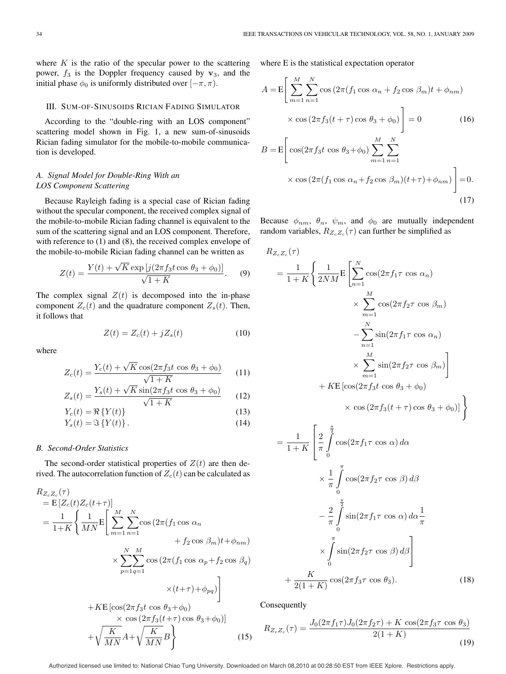where  $K$  is the ratio of the specular power to the scattering power,  $f_3$  is the Doppler frequency caused by  $v_3$ , and the initial phase  $\phi_0$  is uniformly distributed over  $[-\pi, \pi)$ .

## III. SUM-OF-SINUSOIDS RICIAN FADING SIMULATOR

According to the "double-ring with an LOS component" scattering model shown in Fig. 1, a new sum-of-sinusoids Rician fading simulator for the mobile-to-mobile communication is developed.

# *A. Signal Model for Double-Ring With an LOS Component Scattering*

Because Rayleigh fading is a special case of Rician fading without the specular component, the received complex signal of the mobile-to-mobile Rician fading channel is equivalent to the sum of the scattering signal and an LOS component. Therefore, with reference to (1) and (8), the received complex envelope of the mobile-to-mobile Rician fading channel can be written as

$$
Z(t) = \frac{Y(t) + \sqrt{K} \exp\left[j(2\pi f_3 t \cos \theta_3 + \phi_0)\right]}{\sqrt{1 + K}}.
$$
 (9)

The complex signal  $Z(t)$  is decomposed into the in-phase component  $Z_c(t)$  and the quadrature component  $Z_s(t)$ . Then, it follows that

$$
Z(t) = Z_c(t) + jZ_s(t)
$$
\n(10)

where

$$
Z_c(t) = \frac{Y_c(t) + \sqrt{K}\cos(2\pi f_3 t \cos \theta_3 + \phi_0)}{\sqrt{1 + K}}
$$
(11)

$$
Z_s(t) = \frac{Y_s(t) + \sqrt{K}\sin(2\pi f_3 t \cos \theta_3 + \phi_0)}{\sqrt{1 + K}}
$$
(12)

$$
Y_c(t) = \Re\left\{Y(t)\right\} \tag{13}
$$

$$
Y_s(t) = \Im\left\{Y(t)\right\}.
$$
\n(14)

## *B. Second-Order Statistics*

The second-order statistical properties of  $Z(t)$  are then derived. The autocorrelation function of  $Z_c(t)$  can be calculated as

$$
R_{Z_c Z_c}(\tau)
$$
  
= E [Z\_c(t)Z\_c(t+\tau)]  
=  $\frac{1}{1+K} \left\{ \frac{1}{MN} \mathbf{E} \left[ \sum_{m=1}^M \sum_{n=1}^N \cos(2\pi (f_1 \cos \alpha_n + f_2 \cos \beta_m)t + \phi_{nm}) + \sum_{p=1}^N \sum_{q=1}^M \cos(2\pi (f_1 \cos \alpha_p + f_2 \cos \beta_q) + \sum_{p=1}^N \sum_{q=1}^M \cos(2\pi (f_1 \cos \alpha_p + f_2 \cos \beta_q)) + \sum_{p=1}^N \sum_{q=1}^N \cos(2\pi f_3(t+\tau) \cos \theta_3 + \phi_0) \right\}$   
+  $\sqrt{\frac{K}{MN}} A + \sqrt{\frac{K}{MN}} B$  (15)

where E is the statistical expectation operator

$$
A = \mathbb{E}\left[\sum_{m=1}^{M} \sum_{n=1}^{N} \cos\left(2\pi (f_1 \cos \alpha_n + f_2 \cos \beta_m)t + \phi_{nm}\right) \times \cos\left(2\pi f_3(t+\tau)\cos \theta_3 + \phi_0\right)\right] = 0 \tag{16}
$$
  

$$
B = \mathbb{E}\left[\cos\left(2\pi f_3 t \cos \theta_3 + \phi_0\right) \sum_{m=1}^{M} \sum_{n=1}^{N} \right]
$$

$$
\times \cos\left(2\pi (f_1 \cos \alpha_n + f_2 \cos \beta_m)(t+\tau) + \phi_{nm}\right) = 0.
$$
\n(17)

Because  $\phi_{nm}$ ,  $\theta_n$ ,  $\psi_m$ , and  $\phi_0$  are mutually independent random variables,  $R_{Z_cZ_c}(\tau)$  can further be simplified as

$$
R_{Z_c Z_c}(\tau)
$$
  
=  $\frac{1}{1+K} \left\{ \frac{1}{2NM} \mathbf{E} \left[ \sum_{n=1}^N \cos(2\pi f_1 \tau \cos \alpha_n) \times \sum_{m=1}^M \cos(2\pi f_2 \tau \cos \beta_m) \right.\right.$   
 $\times \sum_{n=1}^N \sin(2\pi f_1 \tau \cos \alpha_n)$   
 $\times \sum_{m=1}^M \sin(2\pi f_2 \tau \cos \beta_m) \right\}$   
+  $K \mathbf{E} \left[ \cos(2\pi f_3 t \cos \theta_3 + \phi_0) \right]$   
 $\times \cos(2\pi f_3 (t + \tau) \cos \theta_3 + \phi_0) \right\}$ 

$$
= \frac{1}{1+K} \left[ \frac{2}{\pi} \int_{0}^{\frac{\pi}{2}} \cos(2\pi f_1 \tau \cos \alpha) d\alpha \right]
$$

$$
\times \frac{1}{\pi} \int_{0}^{\frac{\pi}{2}} \cos(2\pi f_2 \tau \cos \beta) d\beta
$$

$$
- \frac{2}{\pi} \int_{0}^{\frac{\pi}{2}} \sin(2\pi f_1 \tau \cos \alpha) d\alpha \frac{1}{\pi}
$$

$$
\times \int_{0}^{\frac{\pi}{2}} \sin(2\pi f_2 \tau \cos \beta) d\beta \right]
$$

$$
+ \frac{K}{2(1+K)} \cos(2\pi f_3 \tau \cos \theta_3).
$$
(18)

Consequently

$$
R_{Z_c Z_c}(\tau) = \frac{J_0(2\pi f_1 \tau)J_0(2\pi f_2 \tau) + K \cos(2\pi f_3 \tau \cos \theta_3)}{2(1+K)}
$$
(19)

Authorized licensed use limited to: National Chiao Tung University. Downloaded on March 08,2010 at 00:28:50 EST from IEEE Xplore. Restrictions apply.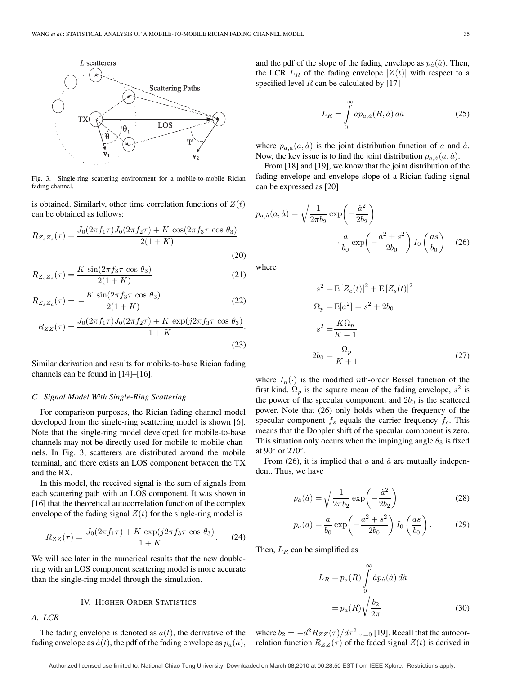

Fig. 3. Single-ring scattering environment for a mobile-to-mobile Rician fading channel.

is obtained. Similarly, other time correlation functions of  $Z(t)$ can be obtained as follows:

$$
R_{Z_s Z_s}(\tau) = \frac{J_0(2\pi f_1 \tau)J_0(2\pi f_2 \tau) + K \cos(2\pi f_3 \tau \cos \theta_3)}{2(1+K)}
$$
\n(20)

$$
R_{Z_c Z_s}(\tau) = \frac{K \sin(2\pi f_3 \tau \cos \theta_3)}{2(1+K)}
$$
(21)

$$
R_{Z_s Z_c}(\tau) = -\frac{K \sin(2\pi f_3 \tau \cos \theta_3)}{2(1+K)}
$$
(22)

$$
R_{ZZ}(\tau) = \frac{J_0(2\pi f_1 \tau)J_0(2\pi f_2 \tau) + K \exp(j2\pi f_3 \tau \cos \theta_3)}{1 + K}.
$$
\n(23)

Similar derivation and results for mobile-to-base Rician fading channels can be found in [14]–[16].

#### *C. Signal Model With Single-Ring Scattering*

For comparison purposes, the Rician fading channel model developed from the single-ring scattering model is shown [6]. Note that the single-ring model developed for mobile-to-base channels may not be directly used for mobile-to-mobile channels. In Fig. 3, scatterers are distributed around the mobile terminal, and there exists an LOS component between the TX and the RX.

In this model, the received signal is the sum of signals from each scattering path with an LOS component. It was shown in [16] that the theoretical autocorrelation function of the complex envelope of the fading signal  $Z(t)$  for the single-ring model is

$$
R_{ZZ}(\tau) = \frac{J_0(2\pi f_1 \tau) + K \exp(j2\pi f_3 \tau \cos \theta_3)}{1 + K}.
$$
 (24)

We will see later in the numerical results that the new doublering with an LOS component scattering model is more accurate than the single-ring model through the simulation.

## IV. HIGHER ORDER STATISTICS

# *A. LCR*

The fading envelope is denoted as  $a(t)$ , the derivative of the fading envelope as  $\dot{a}(t)$ , the pdf of the fading envelope as  $p_a(a)$ , and the pdf of the slope of the fading envelope as  $p_{\dot{a}}(\dot{a})$ . Then, the LCR  $L_R$  of the fading envelope  $|Z(t)|$  with respect to a specified level  $R$  can be calculated by [17]

$$
L_R = \int\limits_0^\infty \dot{a} p_{a,\dot{a}}(R,\dot{a}) \, d\dot{a} \tag{25}
$$

where  $p_{a,\dot{a}}(a,\dot{a})$  is the joint distribution function of a and  $\dot{a}$ . Now, the key issue is to find the joint distribution  $p_{a,a}(a, \dot{a})$ .

From [18] and [19], we know that the joint distribution of the fading envelope and envelope slope of a Rician fading signal can be expressed as [20]

$$
p_{a,\dot{a}}(a,\dot{a}) = \sqrt{\frac{1}{2\pi b_2}} \exp\left(-\frac{\dot{a}^2}{2b_2}\right)
$$

$$
\cdot \frac{a}{b_0} \exp\left(-\frac{a^2 + s^2}{2b_0}\right) I_0\left(\frac{as}{b_0}\right) \quad (26)
$$

where

$$
s^{2} = \mathbb{E}\left[Z_{c}(t)\right]^{2} + \mathbb{E}\left[Z_{s}(t)\right]^{2}
$$

$$
\Omega_{p} = \mathbb{E}[a^{2}] = s^{2} + 2b_{0}
$$

$$
s^{2} = \frac{K\Omega_{p}}{K+1}
$$

$$
2b_{0} = \frac{\Omega_{p}}{K+1}
$$
(27)

where  $I_n(\cdot)$  is the modified *n*th-order Bessel function of the first kind.  $\Omega_p$  is the square mean of the fading envelope,  $s^2$  is the power of the specular component, and  $2b_0$  is the scattered power. Note that (26) only holds when the frequency of the specular component  $f_s$  equals the carrier frequency  $f_c$ . This means that the Doppler shift of the specular component is zero. This situation only occurs when the impinging angle  $\theta_3$  is fixed at 90◦ or 270◦.

From (26), it is implied that  $\alpha$  and  $\dot{\alpha}$  are mutually independent. Thus, we have

$$
p_{\dot{a}}(\dot{a}) = \sqrt{\frac{1}{2\pi b_2}} \exp\left(-\frac{\dot{a}^2}{2b_2}\right)
$$
 (28)

$$
p_a(a) = \frac{a}{b_0} \exp\left(-\frac{a^2 + s^2}{2b_0}\right) I_0\left(\frac{as}{b_0}\right). \tag{29}
$$

Then,  $L_R$  can be simplified as

$$
L_R = p_a(R) \int_0^\infty \dot{a} p_{\dot{a}}(\dot{a}) d\dot{a}
$$

$$
= p_a(R) \sqrt{\frac{b_2}{2\pi}} \tag{30}
$$

where  $b_2 = -d^2 R_{ZZ}(\tau)/d\tau^2|_{\tau=0}$  [19]. Recall that the autocorrelation function  $R_{ZZ}(\tau)$  of the faded signal  $Z(t)$  is derived in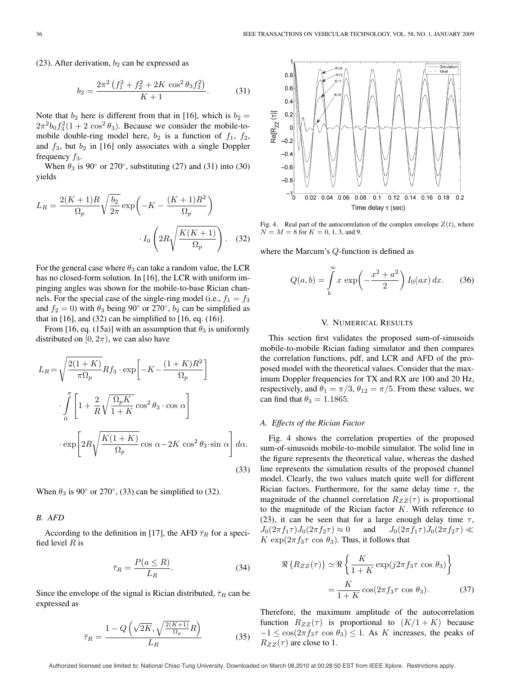(23). After derivation,  $b_2$  can be expressed as

$$
b_2 = \frac{2\pi^2 \left(f_1^2 + f_2^2 + 2K \cos^2 \theta_3 f_3^2\right)}{K+1}.
$$
 (31)

Note that  $b_2$  here is different from that in [16], which is  $b_2 =$  $2\pi^2 b_0 f_3^2 (1+2 \cos^2 \theta_3)$ . Because we consider the mobile-tomobile double-ring model here,  $b_2$  is a function of  $f_1$ ,  $f_2$ , and  $f_3$ , but  $b_2$  in [16] only associates with a single Doppler frequency  $f_3$ .

When  $\theta_3$  is 90 $\degree$  or 270 $\degree$ , substituting (27) and (31) into (30) yields

$$
L_R = \frac{2(K+1)R}{\Omega_p} \sqrt{\frac{b_2}{2\pi}} \exp\left(-K - \frac{(K+1)R^2}{\Omega_p}\right)
$$

$$
I_0 \left(2R\sqrt{\frac{K(K+1)}{\Omega_p}}\right). \quad (32)
$$

For the general case where  $\theta_3$  can take a random value, the LCR has no closed-form solution. In [16], the LCR with uniform impinging angles was shown for the mobile-to-base Rician channels. For the special case of the single-ring model (i.e.,  $f_1 = f_3$ ) and  $f_2 = 0$ ) with  $\theta_3$  being 90° or 270°,  $b_2$  can be simplified as that in  $[16]$ , and  $(32)$  can be simplified to  $[16, eq. (16)]$ .

From [16, eq. (15a)] with an assumption that  $\theta_3$  is uniformly distributed on  $[0, 2\pi)$ , we can also have

$$
L_R = \sqrt{\frac{2(1+K)}{\pi \Omega_p}} R f_3 \cdot \exp\left[-K - \frac{(1+K)R^2}{\Omega_p}\right]
$$

$$
\cdot \int_{0}^{\pi} \left[1 + \frac{2}{R} \sqrt{\frac{\Omega_p K}{1+K}} \cos^2 \theta_3 \cdot \cos \alpha\right]
$$

$$
\cdot \exp\left[2R \sqrt{\frac{K(1+K)}{\Omega_p}} \cos \alpha - 2K \cos^2 \theta_3 \cdot \sin \alpha\right] d\alpha.
$$
(33)

When  $\theta_3$  is 90 $\degree$  or 270 $\degree$ , (33) can be simplified to (32).

#### *B. AFD*

According to the definition in [17], the AFD  $\bar{\tau}_R$  for a specified level  $R$  is

$$
\bar{\tau}_R = \frac{P(a \le R)}{L_R}.\tag{34}
$$

Since the envelope of the signal is Rician distributed,  $\bar{\tau}_R$  can be expressed as

$$
\bar{\tau}_R = \frac{1 - Q\left(\sqrt{2K}, \sqrt{\frac{2(K+1)}{\Omega_p}}R\right)}{L_R} \tag{35}
$$



Fig. 4. Real part of the autocorrelation of the complex envelope  $Z(t)$ , where  $N = M = 8$  for  $K = 0, 1, 3$ , and 9.

where the Marcum's Q-function is defined as

$$
Q(a,b) = \int_{b}^{\infty} x \exp\left(-\frac{x^2 + a^2}{2}\right) I_0(ax) dx.
$$
 (36)

#### V. NUMERICAL RESULTS

This section first validates the proposed sum-of-sinusoids mobile-to-mobile Rician fading simulator and then compares the correlation functions, pdf, and LCR and AFD of the proposed model with the theoretical values. Consider that the maximum Doppler frequencies for TX and RX are 100 and 20 Hz, respectively, and  $\theta_1 = \pi/3$ ,  $\theta_{12} = \pi/5$ . From these values, we can find that  $\theta_3 = 1.1865$ .

## *A. Effects of the Rician Factor*

Fig. 4 shows the correlation properties of the proposed sum-of-sinusoids mobile-to-mobile simulator. The solid line in the figure represents the theoretical value, whereas the dashed line represents the simulation results of the proposed channel model. Clearly, the two values match quite well for different Rician factors. Furthermore, for the same delay time  $\tau$ , the magnitude of the channel correlation  $R_{ZZ}(\tau)$  is proportional to the magnitude of the Rician factor  $K$ . With reference to (23), it can be seen that for a large enough delay time  $\tau$ ,  $J_0(2\pi f_1\tau)J_0(2\pi f_2\tau) \approx 0$  and  $J_0(2\pi f_1\tau)J_0(2\pi f_2\tau) \ll$  $K \exp(2\pi f_3 \tau \cos \theta_3)$ . Thus, it follows that

$$
\Re\{R_{ZZ}(\tau)\} \simeq \Re\left\{\frac{K}{1+K} \exp(j2\pi f_3 \tau \cos \theta_3)\right\}
$$

$$
= \frac{K}{1+K} \cos(2\pi f_3 \tau \cos \theta_3). \tag{37}
$$

Therefore, the maximum amplitude of the autocorrelation function  $R_{ZZ}(\tau)$  is proportional to  $(K/1 + K)$  because  $-1 \leq \cos(2\pi f_3 \tau \cos \theta_3) \leq 1$ . As K increases, the peaks of  $R_{ZZ}(\tau)$  are close to 1.

Authorized licensed use limited to: National Chiao Tung University. Downloaded on March 08,2010 at 00:28:50 EST from IEEE Xplore. Restrictions apply.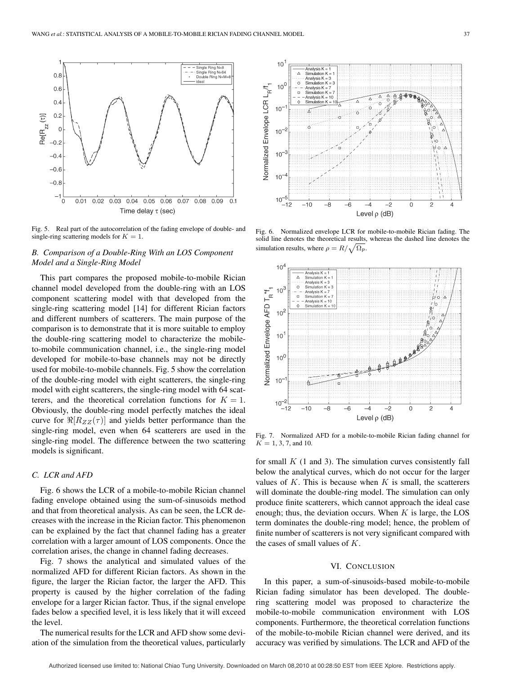

Fig. 5. Real part of the autocorrelation of the fading envelope of double- and single-ring scattering models for  $K = 1$ .

# *B. Comparison of a Double-Ring With an LOS Component Model and a Single-Ring Model*

This part compares the proposed mobile-to-mobile Rician channel model developed from the double-ring with an LOS component scattering model with that developed from the single-ring scattering model [14] for different Rician factors and different numbers of scatterers. The main purpose of the comparison is to demonstrate that it is more suitable to employ the double-ring scattering model to characterize the mobileto-mobile communication channel, i.e., the single-ring model developed for mobile-to-base channels may not be directly used for mobile-to-mobile channels. Fig. 5 show the correlation of the double-ring model with eight scatterers, the single-ring model with eight scatterers, the single-ring model with 64 scatterers, and the theoretical correlation functions for  $K = 1$ . Obviously, the double-ring model perfectly matches the ideal curve for  $\Re[R_{ZZ}(\tau)]$  and yields better performance than the single-ring model, even when 64 scatterers are used in the single-ring model. The difference between the two scattering models is significant.

## *C. LCR and AFD*

Fig. 6 shows the LCR of a mobile-to-mobile Rician channel fading envelope obtained using the sum-of-sinusoids method and that from theoretical analysis. As can be seen, the LCR decreases with the increase in the Rician factor. This phenomenon can be explained by the fact that channel fading has a greater correlation with a larger amount of LOS components. Once the correlation arises, the change in channel fading decreases.

Fig. 7 shows the analytical and simulated values of the normalized AFD for different Rician factors. As shown in the figure, the larger the Rician factor, the larger the AFD. This property is caused by the higher correlation of the fading envelope for a larger Rician factor. Thus, if the signal envelope fades below a specified level, it is less likely that it will exceed the level.

The numerical results for the LCR and AFD show some deviation of the simulation from the theoretical values, particularly



Fig. 6. Normalized envelope LCR for mobile-to-mobile Rician fading. The solid line denotes the theoretical results, whereas the dashed line denotes the simulation results, where  $\rho = R/\sqrt{\Omega_p}$ .



Fig. 7. Normalized AFD for a mobile-to-mobile Rician fading channel for  $K = 1, 3, 7,$  and 10.

for small  $K$  (1 and 3). The simulation curves consistently fall below the analytical curves, which do not occur for the larger values of  $K$ . This is because when  $K$  is small, the scatterers will dominate the double-ring model. The simulation can only produce finite scatterers, which cannot approach the ideal case enough; thus, the deviation occurs. When  $K$  is large, the LOS term dominates the double-ring model; hence, the problem of finite number of scatterers is not very significant compared with the cases of small values of K.

# VI. CONCLUSION

In this paper, a sum-of-sinusoids-based mobile-to-mobile Rician fading simulator has been developed. The doublering scattering model was proposed to characterize the mobile-to-mobile communication environment with LOS components. Furthermore, the theoretical correlation functions of the mobile-to-mobile Rician channel were derived, and its accuracy was verified by simulations. The LCR and AFD of the